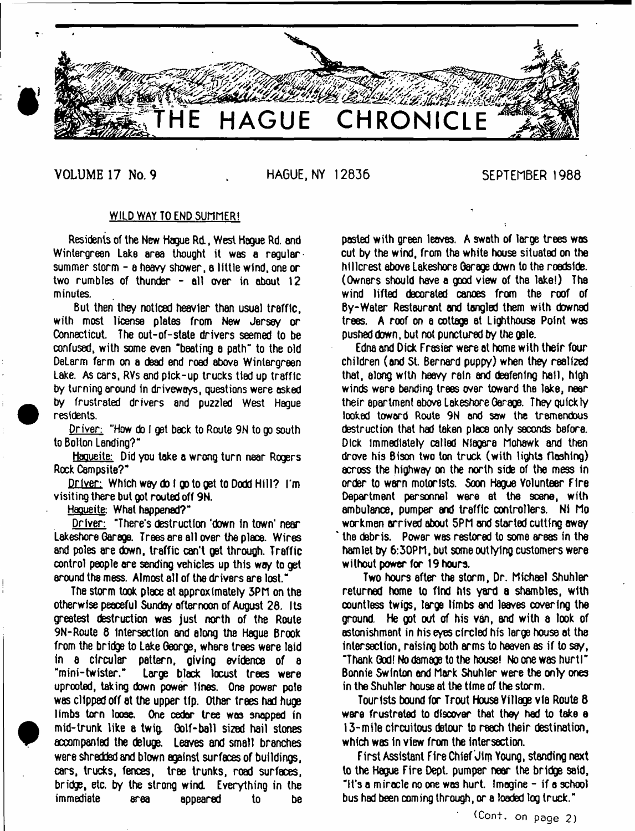

**VOLUME 17 No. 9 HAGUE, NY 12836** SEPTEMBER 1988

#### WILD WAY TO END SUMMER!

Residents of the New Hague Rd, West Hague Rd. and Wintergreen Lake area thought it was a regular. summer storm - a heavy shower, a little wind, one or two rumbles of thunder - all over in about 12 minutes.

But then they noticed heavier than usual traffic, with most license plates from New Jersey or Connecticut. The out-of-state drivers seemed to be confused, with some even "beating a path" to the old DeLarm farm on a dead end road above Wintergreen Lake. As cars, RVs and pick-up trucks tied up traffic by turning around in driveways, questions were asked by frustrated drivers and puzzled West Hague residents.

Driver: "How do I get back to Route 9N to go south to Bolton Landing?"

Haoueite: Did you take a wrong turn near Rogers Rock Campsite?"

Driver: Which way do I go to get to Dodd Hill? I'm visiting there but got routed off 9N.

Haqueite: What happened?"

Driver: "There's destruction 'down in town' near Lakeshore Oarage. Trees ere all over the place. Wires and poles are down, traffic can't get through. Traffic control people are sending vehicles up this woy to get around the mess. Almost all of the drivers are lost."

The storm took place at approximately 3PM on the otherwise peaceful Sunday afternoon of August 28. Its greatest destruction was just north of the Route 9N-Route 8 Intersection and along the Hague Brook from the bridge to Lake George, where trees were laid in a circular pattern, giving evidence of a "mini-twister." Large black locust trees were uprooted, taking down power lines. One power pole was clipped off at the upper tip. Other trees had huge limbs torn loose. One cedar tree was snapped in mid-trunk like a twig. Golf-ball sized hail stones accompanied the deluge. Leaves and small branches were shredded and blown against surfaces of buildings, cars, trucks, fences, tree trunks, road surfaces, bridge, etc. by the strong wind. Everything in the immediate area appeared to be pasted with green leaves. A swath of large trees was cut by the wind, from the white house situated on the hillcrest above Lakeshore Garage down to the roedside. (Owners should have a good view of the lake!) The wind lifted decorated canoes from the roof of By-Water Restaurant and tangled them with downed trees. A roof on a cottage at Lighthouse Point was pushed down, but not punctured by the gale.

Edna and Dick Frasier were at home with their four children (and St. Bernard puppy) when they realized that, along with heavy rain and deafening hail, high winds were bending trees over toward the lake, near their apartment above Lakeshore Garage. They quickly looked toward Route 9N and sow the tremendous destruction that had taken place only seconds before. Dick immediately called Niagara Mohawk and then drove his Bison two ton truck (with lights flashing) across the highway on the north side of the mess in order to warn motorists. Soon Hague Volunteer Fire Department personnel were et the scene, with ambulance, pumper and traffic controllers. Ni Mo workmen arrived about 5PM and started cutting away the debris. Power was restored to some areas in the hamlet by 6:30PM, but some outlying customers were without power for 19 hours.

Two hours after the storm, Dr. Michael Shuhler returned home to find his yard a shambles, with countless twigs, large limbs and leaves covering the ground. He got out of his van, and with 8 look of astonishment in his eyes circled his large house at the intersection, raising both arms to heaven as if to say, "Thank God! No damage to the house! No one was hurtl" Bonnie Swinton and Mark Shuhler were the only ones in the Shuhler house at the time of the storm.

Tourists bound for Trout House Village via Route 8 ware frustrated to discover that they had to take a 13-mile circuitous detour to reach their destination, which was in view from the intersection.

First Assistant Fire Chief Jim Young, standing next to the Hague Fire Dept, pumper near the bridge said, "It's a miracle no one was hurt Imagine - if a school bus had been coming through, or a loaded log truck."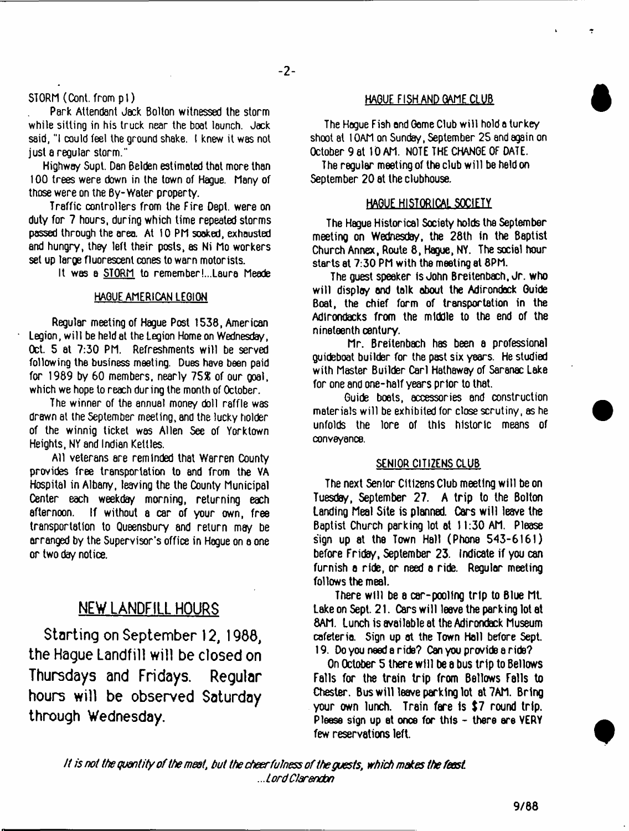#### STORM (Cont. from pi)

Park Attendant Jack Bolton witnessed the storm while sitting in his truck near the boat launch. Jack said, "I could feel the ground shake. I knew it was not just a regular storm."

Highway Supt. Dan Belden estimated that more than 100 trees were down in the town of Hague. Many of those were on the By-Water property.

Traffic controllers from the Fire Dept, were on duty for 7 hours, during which time repeated storms passed through the area. At 10 PM soaked, exhausted and hungry, they left their posts, as Ni Mo workers set up large fluorescent cones to warn motorists.

It was a STORM to remember!...Laura Meade

#### HAGUE AMERICAN LEGION

Regular meeting of Hague Post 1538, American Legion, will be held at the Legion Home on Wednesday, Oct. 5 at 7:30 PM. Refreshments will be served following the business meeting. Dues have been paid for  $1989$  by 60 members, nearly  $75\%$  of our goal, which we hope to reach during the month of October.

The winner of the annual money doll raffle was drawn at the September meeting, and the lucky holder of the winnig ticket was Allen See of Yorklown Heights, NY and Indian Kettles.

All veterans are reminded that Warren County provides free transportation to and from the VA Hospital in Albany, leaving the the County Municipal Center each weekday morning, returning each afternoon. If without a car of your own, free transportation to Queensbury and return may be arranged by the Supervisor's office in Hogue on a one or two day notice.

## **NEW LANDFILL HOURS**

**Starting on September 12, 1988, the Hague Landfill will be closed on Thursdays and Fridays. Regular hours will be observed Saturday through Wednesday.**

#### HABUF FISH AND GAME CLUB

 $\overline{z}$ 

The Hogue Fish end Gome Club will hold a turkey shoot at 10AM on Sunday, September 28 and again on October 9 at 1D AM. NOTE THE CHANGE OF DATE.

The regular meeting of the club will be held on September 20 at the clubhouse.

#### HAGUE HISTORICAL SOCIETY

The Hague Historical Society holds the September meeting on Wednesday, the 28th in the Baptist Church Annex, Route 8, Hague, NY. The social hour starts at 7:30 PM with the meeting at 8PM.

The guest speaker is John Breitenbach, Jr. who will display and talk about the Adirondack Guide Boat, the chief form of transportation in the Adlrondacks from the middle to the end of the nineteenth century.

Mr. Breitenbach has been a professional guideboat builder for the past six years. He studied with Master Builder Carl Hathaway of Saranac Lake for one and one-half years prior to that.

Guide boats, accessories and construction materials will be exhibited for close scrutiny, as he unfolds the lore of this historic means of conveyance.

#### SENIOR CITIZENS CLUB

The next Senior Citizens Club meeting will be on Tuesday, September 27. A trip to the Bolton Landing Meal Site is planned. Cars will leave the Baptist Church parking lot at 11:30 AM. Please sign up at the Town Hall (Phone 543-6161) before Friday, September 23. Indicate if you can furnish a ride, or need a ride. Regular meeting follows the meat.

There will be a car-pooling trip to Blue Mt. Lake on Sept. 21. Cars will leave the parking lot at 8AM. Lunch is available at the Adirondack Museum cafeteria. Sign up at the Town Hell before Sept. 19. Do you need a ride? Can you provide a ride?

On October 5 there will be a bus trip to Bellows Falls for the train trip from Bellows Falls to Chester. Bus will leave parking lot at 7AM. Bring your own lunch. Train fare is \$7 round trip. Pleese sign up at once for this - there are VERY few reservations left.

*It isnot the quantity of the meat, hut the cheerfulness of the guests, which makes the feest ..lo rd Clarendon*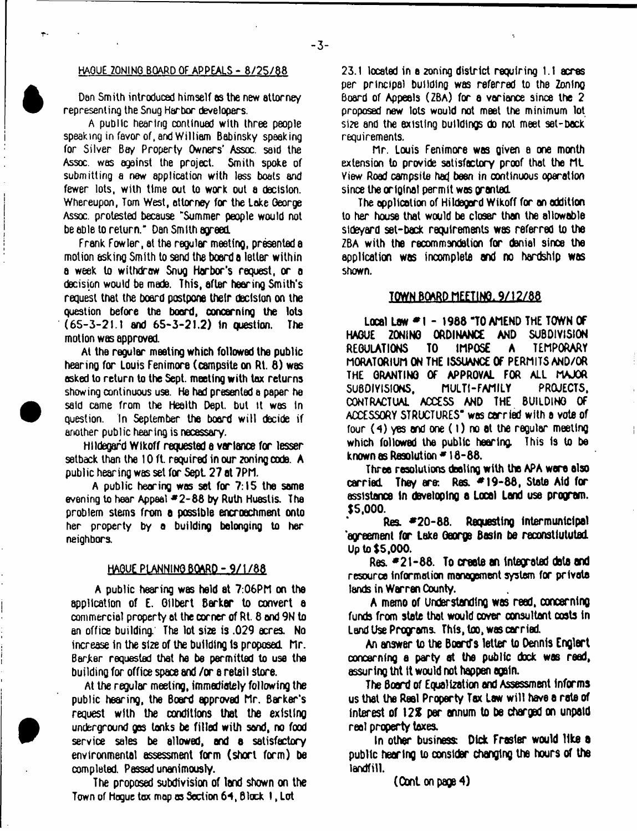#### HAGUE 20NINQ BOARD OF APPEALS - 8/25/88

Den Smith introduced himself as the new attorney representing the Snug Harbor developers.

A public hearing continued with three people speaking in favor of, and William Babinsky speaking for Silver Bay Property Owners' Assoc, said the Assoc, was against the project. Smith spoke of submitting a new application with less boats and fewer lots, with time out to work out a decision. Whereupon, Tom West, attorney for the Lake George Assoc, protested because "Summer people would not be able to return." Dan Smith agreed.

Frank Fowler, at the regular meeting, presented a motion asking Smith to send the board a letter within a week to withdraw Snug Harbor's request, or a decision would be made. This, after hearing Smith's request that the board postpone their decision on the question before the board, concerning the lots (65-3-21.1 and 65-3-21.2) 1n question. The motion was approved.

At the regular meeting which followed the public hearing for Louis Fenimore (campsite on Rt. 8) was asked to return to the Sept. meeting with tax returns showing oonlinuous use. He had presented a paper he said came from the Health Dept, but it was In question. In September the board will decide if another public hearing is necessary.

Hildegard Wikoff requested a variance for lesser setback than the 10 ft. required in our zoning code. A public hearing was set for Sept. 27 at 7PM.

A public hearing was set for  $7:15$  the same evening to hear Appeal  $*2-88$  by Ruth Huestis. The problem stems from a possible encroachment onto her property by a building belonging to her neighbors.

#### HAGUE PLANN1N0BQARD -,9/1786

A public hexing was held at 7:06PM on the application of E. Gilbert Barker to convert a commercial property at the corner of Rt. 8 and 9N to an office building. The lot size is .029 acres. No increase in the size of the building ts proposed. Mr. Barker requested that he be permitted to use the building for office space and /or a retail store.

At the regular meeting, immediately following the public hearing, the Board approved Mr. Barker's request with the conditions that the existing underground gas lonks be filled with sand, no food service sales be allowed, and a satisfactory environmental assessment form (short form) be completed. Passed unanimously.

The proposed subdivision of land shown on the Town of Hogue tax mop as Section 64, Block 1, Lot

23.1 located in a zoning district requiring 1.1 acres per principal building was referred to the Zoning Board of Appeals (ZBA) for a variance since the 2 proposed new tots would not meet the minimum lot size and the existing buildings do not meet set-back requirements.

Mr. Louis Fenimore was given a one month extension to provide satisfactory proof that the ML View Road campsite had been in continuous operation since the original permit was granted.

The application of Hildegard Wikoff for an addition to her house that would be closer than the allowable stdeyard set-back requirements was referred to the ZBA with the recommendation for danial since the application was incomplete and no hardship was shown.

#### TOWN PQARP *nfmtL3/32/Jt&*

Local Law  $*1 - 1988$  "TO AMEND THE TOWN OF HAGUE ZONING ORDINANCE AND SUBDIVISION REGULATIONS TO IMPOSE A TEMPORARY MORATORIUM ON THE ISSUANCE Of PERMITS AND/OR THE GRANTING OF APPROVAL FOR ALL MAJOR SUBDIVISIONS, MULTI-FAMILY PROJECTS, CONTRACTUAL ACCESS AND THE BUILDING OF ACCESSORY STRUCTURES\* was *carried* with a vote of four  $(4)$  yes and one  $(1)$  no at the regular meeting which followed the public hearing. This is to be known as Resolution  $= 18-88$ .

Three resolutions dealing with the APA were also carried. They are: Res.  $*19-88$ , State Aid for assistance In developing a Local Lend use program. \$5,000.

Res. \*20-88. Requesting intermuntcipal 'aoreement for Lake George Basin be reconstiututed. Up to \$5,000.

Res. \*21-88. To create an integrated data and resource information management system for private lands in Warran County.

A memo of Understanding was read, concerning funds from state that would cover consultant costs in Land Use Programs. This, too, was cxried.

An answer to the Board's letter to Dennis Englart concerning a party at the public dock was read, assuring Uit it would not happen again.

The Board of Equalization and Assessment informs us that the Reel Property Tax Law will have a rate of interest of 12% par annum to be charged on unpaid reel property taxes.

In other business: Dick Fraster would like a public hexing to consider changing the hours of the landfill.

(OonL on page 4)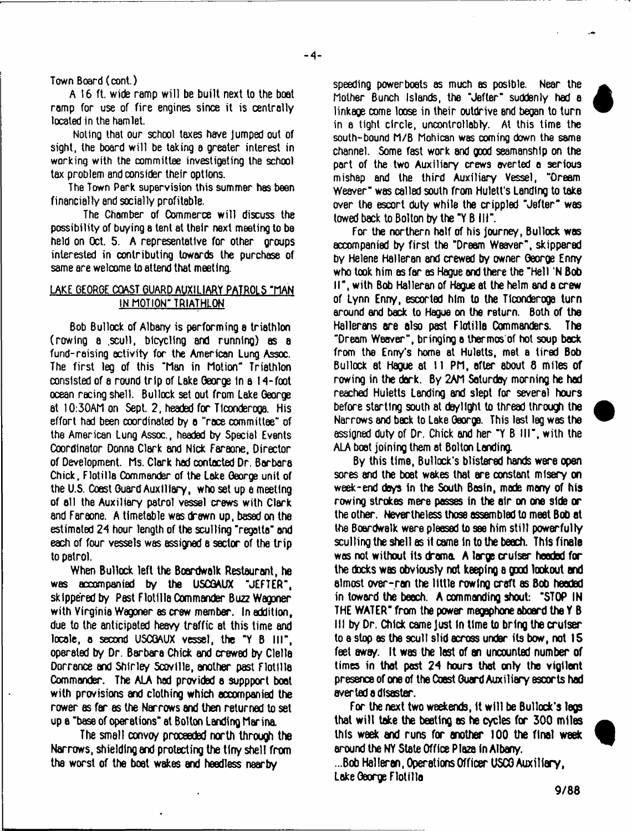#### Town Board (cont.)

A 16 ft. wide ramp will be built next to the boat ramp for use of fire engines since it is centrally located in the hamlet.

Noting that our school taxes have Jumped out of sight, the board will be taking a greater interest in working with the committee investigating the school tax problem and consider their options.

The Town Perk supervision this summer has been financially end socially profitable.

The Chamber of Commerce will dixuss the possibility of buying a tent at their next meeting to be held on Oct. 5. A representative for other groups interested in contributing towards the purchase of same are welcome to attend that meeting.

### LAKE GEORGE COAST GUARD AUXILIARY PATROLS "HAN IN MOTION" TRIATHLON

Bob Bullock of Albany is performing a triathlon (rowing a .xull, bicycling and running) as a fund-raising activity for the American Lung Assoc. The first leg of this "Man in Motion" Triathlon consisted of a round trip of Lake George in a 14-foot ocean racing shell. Bullock set out from Lake George at 10:30AM on Sept. 2, headed for Tlconderoga. His effort had been cxrdinated by a "race committee" of the American Lung Assoc., headed by Special Events Coordinator Donna Clark and Nick Faraone, Director of Development. Ms. Clerk had contacted Dr. Barbara Chick, Flotilla Commander of the Lake George unit of the U.S. Coest Guard Auxiliary, who set up a meeting of all the Auxiliary patrol vessel crews with Clark and Faraone. A timetable was drawn up, based on the estimated 24 hour length of the sculling "regatta" and each of four vessels was assigned a sector of the trip to patrol.

When Bullock left the Boardwalk Restaurant, he was accompanied by the USCGAUX "JEFTER", skippered by Pest Flotilla Oommander Buzz Wagoner with Virginia Wagoner as crew member. In addition, due to the anticipated heavy traffic at this time and locale, o second USCGAUX vessel, the "Y B III", operated by Dr. Barbara Chick and crewed by Clelle Dorrance and Shirley Scovllle, another past Flotilla Commander. The ALA had provided a suppport boot with provisions and clothing which accompanied the rower es far as the Narrows end then returned to set up e "base of operations" at Bolton Landing Marina

The small convoy proceeded north through the Narrows, shielding end protecting the tiny shell from the worst of the boot wakes and heedless nearby

speeding powerboats as much as posible. Near the Mother Bunch Islands, the "Jefter" suddenly had a linkage come loose in their outdrive and began to turn in a tight circle, uncontrollably. At this time the south-bound M/B Mohican was coming down the same channel. Some fast work and good seamanship on the part of the two Auxiliary crews averted a serious mishap and the third Auxiliary Vessel, "Dream Weaver" was called south from Hulett's Landing to take over the escort duty while the crippled "Jefter" was towed back to Bolton by the "Y B III".

For the northern half of his journey, Bullock was accompanied by first the "Dream Weaver", skippered by Helene Halleran and crewed by owner George Enny who took him as far as Haque and there the "Hell 'N Bob II", with Bob Halleran of Hague at the helm and a crew of Lynn Enry, escorted him to the Tlconderoga turn around and back to Hague on the return. Both of the Hallerans are also past Flotilla Commanders. The "Dream Weaver", bringing a thermos of hot soup back from the Enny's home at Huletts, met a tired Bob Bullock at Hague at 11 PM, after about 6 miles of rowing in the dark. By 2AM Saturday morning he had reached Huletts Landing and slept for several hours before starting south at daylight to thread through the Narrows and back to Lake George. This last leg was the assigned duty of Dr. Chick and her "Y B III", with the ALA boat joining them at Bolton Landing.

By this time, Bullock's blistered hands were open sones and the boat wakes that are constant misery on week-end days In the South Basin, made many of his rowing strokes mere passes in the air on one side or the other. Nevertheless those assembled to meet Bob at the Boardwalk were pleased to see him still powerfully sculling the shell es it came in to the beach. This finale was not without its drama. A large cruiser headed for the docks was obviously not keeping a good lookout and almost over-ran the little rowinQ craft as Bob headed in towxd the beech. A commanding shout: "STOP IN THE WATER" from the power megaphone aboard the  $Y$  B 111 by Dr. Chick came just in time to bring the cruiser to a stop as the scull slid across under its bow, not 15 feet away. It was the last of an uncounted number of times in that past 24 hours that only the vigilent presence of one of the Coest Guard Auxiliary escorts had aver ted a disaster.

For the next two weekends, it will be Bullock's legs that will take the beating as he cycles for 300 miles this week and runs for another 100 the final week around the NY State Office Plaza in Albany.

...Bob Hellxan, Operations Officer USCG Auxiliary, Lake George Flotilla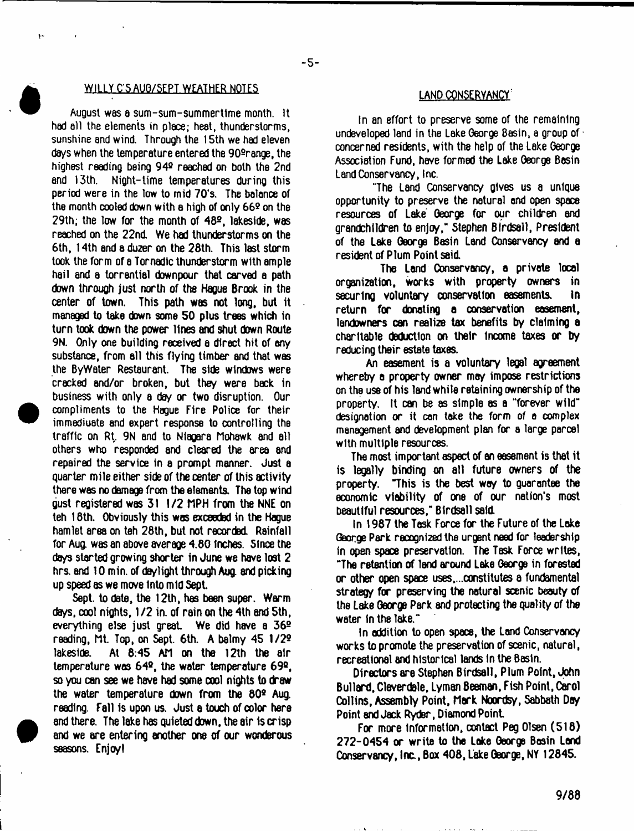# WILLY C'S AUG/SEPT. WEATHER NOTES LAND CONSERVANCY'

August was a sum-sum-summertlme month. It had all the elements in place; heat, thunderstorms, sunshine and wind. Through the 15th we had eleven days when the temperature entered the 90º range, the highest reading being 94º reached on both the 2nd and 13th. Night-time temperatures during this period were in the low to mid 70's. The balance of the month cooled down with a high of only 662 on the 29th; the low for the month of  $48<sup>2</sup>$ , lakeside, was reached on the 22nd. We had thunderstorms on the 6th, 14th and a duzer on the 28th. This last storm took the form of a Tornadlc thunderstorm with ample hail and a torrential downpour that carved a path down through just north of the Hague Brook in the center of town. This path was not long, but it managed to take down some 50 plus trees which in turn took down the power lines and shut down Route 9N. Only one building received a direct hit of any substance, from all this flying timber and that was the ByWater Restaurant. The side windows were cracked and/or broken, but they were back in business with only a day or two disruption. Our compliments to the Hague Fire Police for their immediuate and expert response to controlling the traffic on Rt. 9N and to Niagara Mohawk and all others who responded and cleared the area and repaired the service in a prompt manner. Just a quarter mile either side of the center of this activity there was no damage from the elements. The top wind gust registered was 31 1/2 MPH from the NNE on teh 16th. Obviously this was exceeded in the Hague hamlet area on teh 28th, but not recorded. Rainfall for Aug. was an above average 4.80 inches. 5fnce the days started growing shorter in June we have lost 2 hrs. and 10 min. of daylight through Aug and picking up speed as we move into mid Sept

Sept. to date, the 12th, has been super. Warm days, cool nights, 1*12* in. of rain on the 4th and 5th, everything else just great. We did have a 36<sup>o</sup> reading, Mt. Top, on Sept. 6th. A balmy 45 1/2® lakeside. At 8:45 AM on the 12th the air temperature was 64º, the water temperature 69º, so you can see we have had some cool nights to draw the water temperature down from the 80º Aug. reading. Fall Is upon us. Just e touch of color here and there. The lake has quieted down, the air is crisp and we are entering another one of our wonderous seasons. Enjoy I

In an effort to preserve some of the remaining undeveloped land in the Lake George Basin, a group of  $\cdot$ concerned residents, with the help of the Lake Oeorge Association Fund, have formed the Lake Oeorge Basin Land Conservancy, Inc.

"The Land Conservancy gives us a unique opportunity to preserve the natural and open space resources of Lake Oeorge for our children end grandchildren to enjoy," Stephen Birdsell, President of the Lake Oeorge Basin Land Conservancy and a resident of Plum Point said.

The Land Conservancy, a private local organization, works with property owners in securing voluntary conservation easements. In return for donating a conservation easement, landowners can realize tax benefits by claiming a charitable deduction on their income taxes or by reducing their estate taxes.

An easement is a voluntary legal agreement whereby a property owner may impose restrictions on the use of his land while retaining ownership of the property. It can be as simple as a "forever wild" designation *or* it con take the form of a complex management and development plan for a large parcel with multiple resources.

The most important aspect of an easement is that it is legally binding on all future owners of the property. "This is the best way to guarantee the economic viability of one of our nation's most beautiful resources," Birdsell said.

In 1987 the Task Force for the Future of the Lake George Park recognized the urgent need for leadership in open space preservation. The Task Force writes, "The retention of land around Lake George in forested or other open space uses,...constitutes a fundamental strategy for preserving the natural scenic beauty of the Lake George Park and protecting the quality of the water in the lake."

In addition to open space, the Land Conservancy works to promote the preservation of scenic, natural, recreational and historical lands in the Basin.

Directors are Stephen Birdsell, Plum Point, John Bullard, Cleverdale, Lyman Beaman, Fish Point, Carol Collins, Assembly Point, Mark Noordsy, Sabbath Day Point and Jack Ryder, Diamond Point

For more information, contact Peg Olsen (518) 272-0454 or write to the Lake George Basin Land Conservancy, Inc., Box 408, Lake George, NY 12845.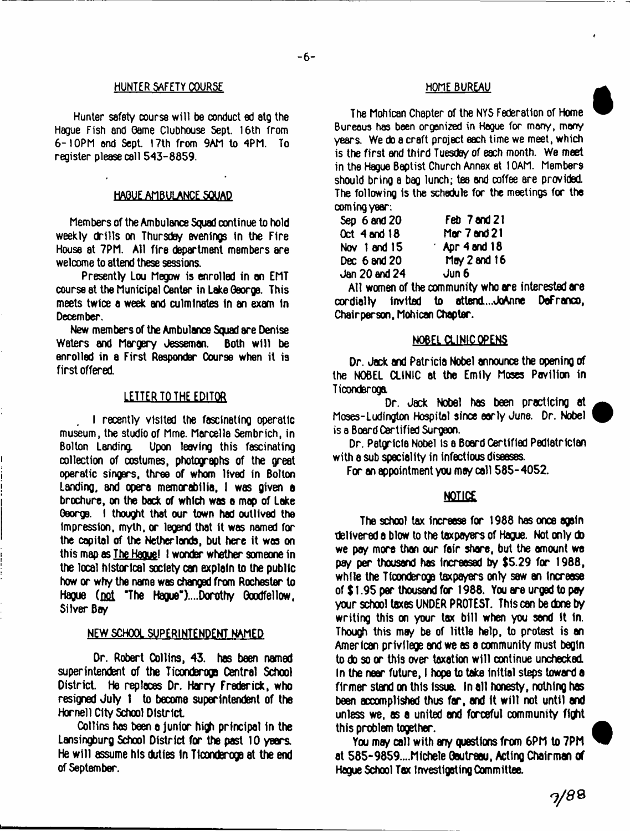#### **HUNTER SAFETY COURSE HOME BUREAU**

Hunter safety course will be conduct ed atg the Hague Fish and Game Clubhouse Sept. 16th from 6-10PM and Sept. 17th from 9AM to 4PM. To register please call 543-8859.

#### HAGUE AMBULANCE SQUAD

Members of the Ambulance Squad continue to hold weekly drills on Thursday evenings in the Fire House at 7PM. All fire department members are welcome to attend these sessions.

Presently Lou Megow is enrolled in an EMT course at the Municipal Center in Lake George. This meets twice a week and culminates in an exam in December.

New members of the Ambulance Squad are Denise Waters and Margery Jesseman. Both will be enrolled in a First Responder Course when it is first offered.

### LETTER TO THE EDITOR

I recently visited the fascinating operatic museum, the studio of Mme. Marcella Sembrich, in Upon leaving this fascinating collection of costumes, photographs of the greet operatic singers, three of whom lived in Bolton Landing, and opera memorabilia, I was given a brochure, on the back of which was a mop of Lake George. I thought that our town had outlived the impression, myth, or legend that it was named for the capital of the Netherlands, but here it was on this mao as The Haouel I wonder whether someone in the local historical society can explain to the public how or why the name was changed from Rochester to Hague (not "The Hague")....Dorothy Goodfellow, Silver Boy

#### NEW SCHOOL SUPERINTENDENT NAMED

Dr. Robert Oollins, 43. has been named superintendent of the Ticonderoga Central School District. He replaces Dr. Harry Frederick, who resigned July 1 to become superintendent of the Hornell City School District.

Collins has been a junior high principal in the Lansingburg School District for the past 10 years. He will assume his duties in Tlconderoga at the end of September.

The Mohican Chapter of the NYS Federation of Home Bureaus has been organized in Hague for many, many years. We do a craft project each time we meet, which is the first and third Tuesday of each month. We meet in the Hague Baptist Church Annex at 10AM. Members should brinQ a bag lunch; tea and coffee are provided. The following is the schedule for the meetings for the coming year:

| Feb 7 and 21              |
|---------------------------|
| Mar 7 and 21              |
| $\therefore$ Apr 4 and 18 |
| May $2$ and $16$          |
| Jun 6                     |
|                           |

All women of the community who are interested are cxdially Invited to attend....JoAnne DeFranco, Chairperson, Mohican Chapter.

### NOBEL CLINIC OPENS

Dr. Jock and Patricia Nobel announce the opening of the NOBEL CLINIC at the Emily Moses Pavilion in Ticonderoga.

Dr. Jack Nobel has been practicing at Moses-Ludington Hospital since early June. Dr. Nobel is a Board Certified Surgeon.

Dr. Patgricia Nobel is a Board Certified Pediatrician with a sub speciality in infectious diseases.

For an appointment you may call 585-4052.

### **NOTICE**

The school tax increese for 1988 has once again delivered a blow to the taxpayers of Hague. Not only do we pay more than our fair share, but the amount we pay per thousand has increased by \$5.29 for 1988, while the Ticonderoga taxpayers only saw an increase of \$1.95 par thousand for 1988. You are urged to pay your school taxes UNDER PROTEST. This can be done by writing this on your tax bill when you send it in. Though this may be of little help, to protest is an American privilege and we as a community must begin to do so or this over taxation will continue unchecked. In the near future, I hope to take initial steps toward a firmer stand on this issue. In all honesty, nothing has been accomplished thus far, and it will not until and unless we, as a united and forceful community fight this problem together.

You may call with any questions from 6PM to 7PM at 565-9859....Michele Oautreau, Acting Chairman of Hague School Tax Investigating Oommittee.

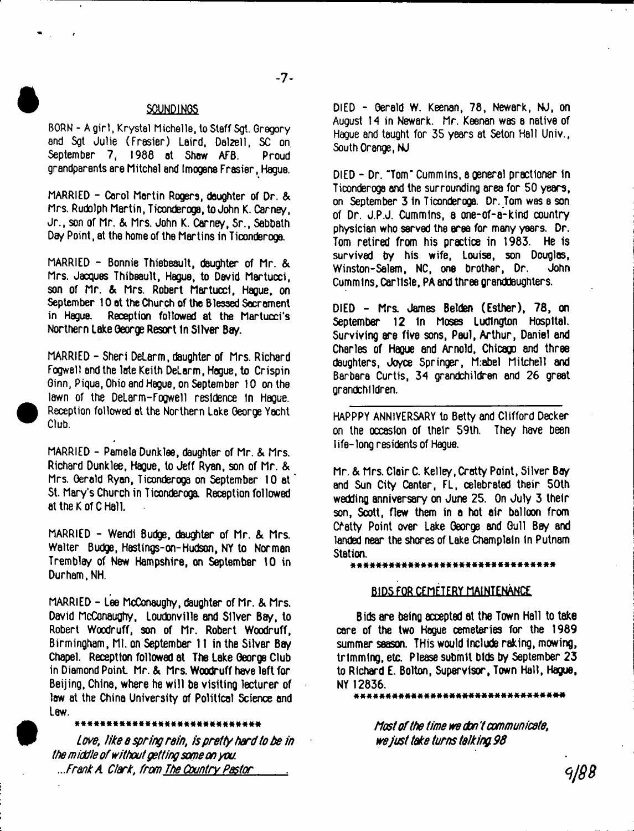#### **SOUNDINGS**

BORN - A girl, Krystal Michelle, to Staff Sgt. Gregory end Sgt Julie (Frasier) Laird, Delzell, SC on. September 7, 1988 at Shaw AFB. Proud grandparents are Mitchel and Imogens Frasier, Hague.

MARRIED - Carol Martin Rogers, daughter of Dr. & Mrs. Rudolph Martin, Ticonderoga, to John K. Carney, Jr., son of Mr. & Mrs. John K. Carney, Sr., Sabbath Day Point, at the home of the Martins in Ticonderoga.

MARRIED - Bonnie Thiebeault, daughter of Mr. & Mrs. Jacques Thibeault, Hague, to David Martucci, son of Mr. & Mrs. Robert Martucci. Hague, on September 10 at the Church of the Blessed Sacrament<br>in Haque. Reception followed at the Martucci's Reception followed at the Martucci's Northern Lake Oeorge Resort In Silver Bay.

MARRIED - Sheri DeLarm, daughter of Mrs. Richard Fogwell and the late Keith DeLarm, Hague, to Crispin Ginn, Piqua, Ohio and Hague, on September 10 on the lawn of the DeLarm-Fogwell residence In Hague. Reception followed at the Northern Lake George Yacht Club.

MARRIED - Pamela Dunklee, daughter of Mr. & Mrs. Richard Dunklee, Hague, to Jeff Ryan, son of Mr. & Mrs. Gerald Ryan, Ticonderoga on September 10 at St. Mary's Church in Ticonderoga. Reception followed at the K of C Hall.

MARRIED - Wendi Budge, daughter of Mr. & Mrs. Walter Budge, Hastings-on-Hudson, NY to Norman Tremblay of New Hampshire, on September 10 in Durham, NH.

MARRIED - Lee McConaughy, daughter of Mr. & Mrs. David McConaughy, Loudonville and Silver Bay, to Robert Woodruff, son of Mr. Robert Woodruff, Birmingham, Ml. on September 11 in the Silver Bay Chapel. Receptton followed at The Lake George Club in Diamond Point Mr. & Mrs. Woodruff have left for Beijing, China, where he will be visiting lecturer of law at the China University of Political Science and Law.

*Love, like a spring rain, is pretty herd to be in the middle of without getting some on you. ...Frank A Clark*, *from The Country Pastor*

DIED - Gerald w. Keenan, 78, Newark, NJ, on August 14 in Newark. Mr. Keenan was a native of Hague and taught for 35 years at Seton Hall Univ., South Orange, NJ

DIED - Dr. "Tom" Cummins, a general practioner in Ticonderoga and the surrounding area for 50 years, on September 3 in Ticonderoga. Dr. Tom was a son of Dr. J.P.J. Cummins, 8 one-of-a-kind country physician who served the aree for many years. Dr. Tom retired from his practice in 1983. He Is survived by his wife, Louise, son Dougl<del>a</del>s,<br>Winston-Salem, NC, one brother, Dr. John Winston-Salem, NC, one brother, Dr. Cummins. Carlisle, PA and three granddaughters.

DIED - Mrs. James Belden (Esther), 78, on September 12 In Moses Ludlngton Hospital. Surviving are five sons, Paul, Arthur, Daniel and Charles of Hague and Arnold, Chicago and three daughters, Joyce Springer, M:abel Mitchell and Barbara Curtis, 34 grandchildren and 26 great grandchildren.

HAPPPY ANNIVERSARY to Betty and Clifford Decker on the occasion of their 59th. They have been I ife- long residents of Hague.

Mr. & Mrs. Clair C. Kelley, Crotty Point, Silver Bay and Sun City Center, FL, celebrated their 50th wedding anniversary on June 25. On July 3 their son, Scott, flew them in a hot air balloon from Chatty Point over Lake George and Gull Bey and landed near the shores of Lake Champlain In Putnam Station.

#### a\*\*##\*#\*####\*\*#\*###\*\*\*#\*\*\*\*\*\*\*\*\*

#### BIDS FOR CEMETERY MAINTENANCE

Bids are being accepted at the Town Hall to take care of the two Hague cemeteries for the 1989 summer season. THis would Include raking, mowing, trimming, etc. Please submit bids by September 23 to Richard E. Bolton, Supervisor, Town Hall, Hague, NY 12836.

\*\*\*\*\*\*\*\*\*\*\*\*\*\*\*\*\*\*\*\*\*\*\*\*\*

*Most of the time we don't communicate, we just take turns talking 98*